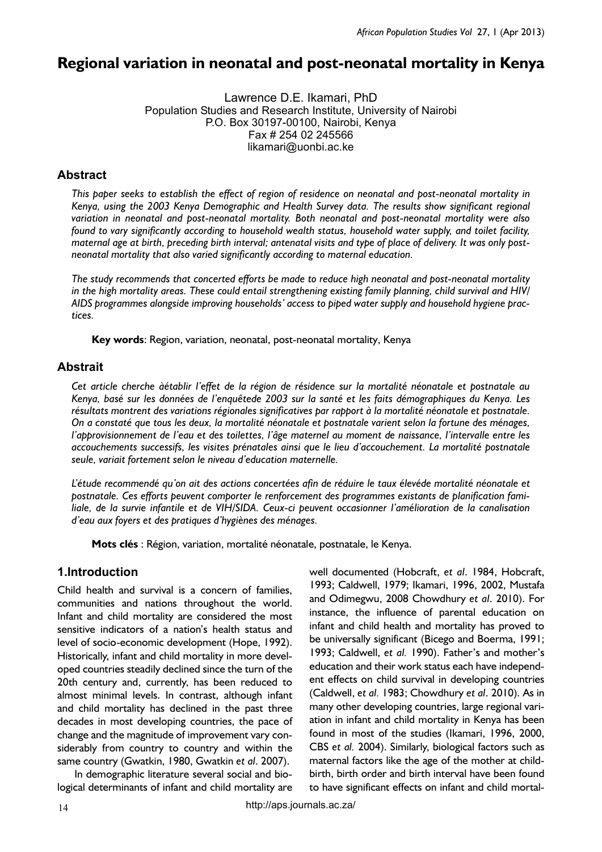# **Regional variation in neonatal and post-neonatal mortality in Kenya**

Lawrence D.E. Ikamari, PhD Population Studies and Research Institute, University of Nairobi P.O. Box 30197-00100, Nairobi, Kenya Fax # 254 02 245566 likamari@uonbi.ac.ke

## **Abstract**

*This paper seeks to establish the effect of region of residence on neonatal and post-neonatal mortality in Kenya, using the 2003 Kenya Demographic and Health Survey data. The results show significant regional variation in neonatal and post-neonatal mortality. Both neonatal and post-neonatal mortality were also found to vary significantly according to household wealth status, household water supply, and toilet facility, maternal age at birth, preceding birth interval; antenatal visits and type of place of delivery. It was only postneonatal mortality that also varied significantly according to maternal education.*

*The study recommends that concerted efforts be made to reduce high neonatal and post-neonatal mortality in the high mortality areas. These could entail strengthening existing family planning, child survival and HIV/ AIDS programmes alongside improving households' access to piped water supply and household hygiene practices.* 

**Key words**: Region, variation, neonatal, post-neonatal mortality, Kenya

#### **Abstrait**

*Cet article cherche àétablir l'effet de la région de résidence sur la mortalité néonatale et postnatale au Kenya, basé sur les données de l'enquêtede 2003 sur la santé et les faits démographiques du Kenya. Les résultats montrent des variations régionales significatives par rapport à la mortalité néonatale et postnatale. On a constaté que tous les deux, la mortalité néonatale et postnatale varient selon la fortune des ménages, l'approvisionnement de l'eau et des toilettes, l'âge maternel au moment de naissance, l'intervalle entre les accouchements successifs, les visites prénatales ainsi que le lieu d'accouchement. La mortalité postnatale seule, variait fortement selon le niveau d'education maternelle.* 

*L'étude recommendé qu'on ait des actions concertées afin de réduire le taux élevéde mortalité néonatale et postnatale. Ces efforts peuvent comporter le renforcement des programmes existants de planification familiale, de la survie infantile et de VIH/SIDA. Ceux-ci peuvent occasionner l'amélioration de la canalisation d'eau aux foyers et des pratiques d'hygiènes des ménages.* 

**Mots clés** : Région, variation, mortalité néonatale, postnatale, le Kenya.

#### **1.Introduction**

Child health and survival is a concern of families, communities and nations throughout the world. Infant and child mortality are considered the most sensitive indicators of a nation's health status and level of socio-economic development (Hope, 1992). Historically, infant and child mortality in more developed countries steadily declined since the turn of the 20th century and, currently, has been reduced to almost minimal levels. In contrast, although infant and child mortality has declined in the past three decades in most developing countries, the pace of change and the magnitude of improvement vary considerably from country to country and within the same country (Gwatkin, 1980, Gwatkin *et al*. 2007).

In demographic literature several social and biological determinants of infant and child mortality are well documented (Hobcraft, *et al*. 1984, Hobcraft, 1993; Caldwell, 1979; Ikamari, 1996, 2002, Mustafa and Odimegwu, 2008 Chowdhury *et al*. 2010). For instance, the influence of parental education on infant and child health and mortality has proved to be universally significant (Bicego and Boerma, 1991; 1993; Caldwell, *et al.* 1990). Father's and mother's education and their work status each have independent effects on child survival in developing countries (Caldwell, *et al.* 1983; Chowdhury *et al*. 2010). As in many other developing countries, large regional variation in infant and child mortality in Kenya has been found in most of the studies (Ikamari, 1996, 2000, CBS *et al.* 2004). Similarly, biological factors such as maternal factors like the age of the mother at childbirth, birth order and birth interval have been found to have significant effects on infant and child mortal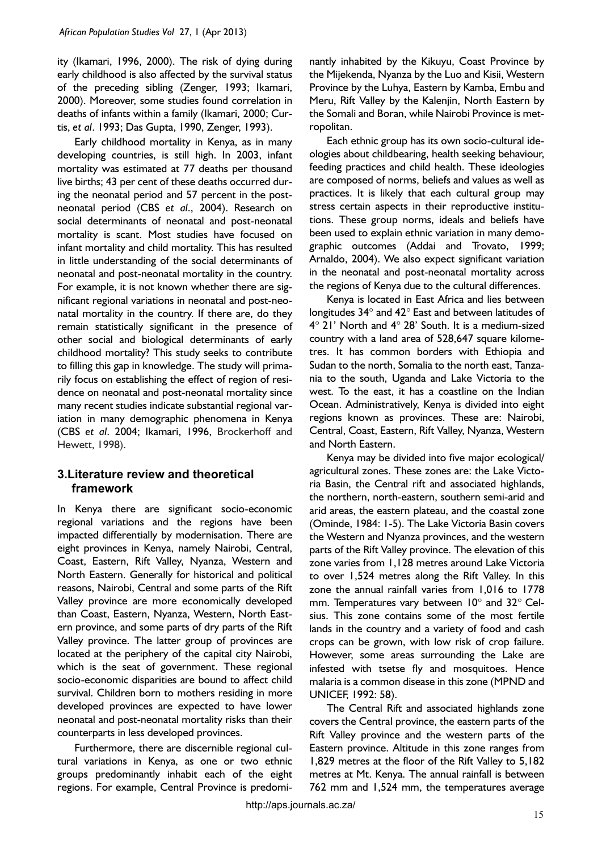ity (Ikamari, 1996, 2000). The risk of dying during early childhood is also affected by the survival status of the preceding sibling (Zenger, 1993; Ikamari, 2000). Moreover, some studies found correlation in deaths of infants within a family (Ikamari, 2000; Curtis, *et al*. 1993; Das Gupta, 1990, Zenger, 1993).

Early childhood mortality in Kenya, as in many developing countries, is still high. In 2003, infant mortality was estimated at 77 deaths per thousand live births; 43 per cent of these deaths occurred during the neonatal period and 57 percent in the postneonatal period (CBS *et al*., 2004). Research on social determinants of neonatal and post-neonatal mortality is scant. Most studies have focused on infant mortality and child mortality. This has resulted in little understanding of the social determinants of neonatal and post-neonatal mortality in the country. For example, it is not known whether there are significant regional variations in neonatal and post-neonatal mortality in the country. If there are, do they remain statistically significant in the presence of other social and biological determinants of early childhood mortality? This study seeks to contribute to filling this gap in knowledge. The study will primarily focus on establishing the effect of region of residence on neonatal and post-neonatal mortality since many recent studies indicate substantial regional variation in many demographic phenomena in Kenya (CBS *et al*. 2004; Ikamari, 1996, Brockerhoff and Hewett, 1998).

# **3.Literature review and theoretical framework**

In Kenya there are significant socio-economic regional variations and the regions have been impacted differentially by modernisation. There are eight provinces in Kenya, namely Nairobi, Central, Coast, Eastern, Rift Valley, Nyanza, Western and North Eastern. Generally for historical and political reasons, Nairobi, Central and some parts of the Rift Valley province are more economically developed than Coast, Eastern, Nyanza, Western, North Eastern province, and some parts of dry parts of the Rift Valley province. The latter group of provinces are located at the periphery of the capital city Nairobi, which is the seat of government. These regional socio-economic disparities are bound to affect child survival. Children born to mothers residing in more developed provinces are expected to have lower neonatal and post-neonatal mortality risks than their counterparts in less developed provinces.

Furthermore, there are discernible regional cultural variations in Kenya, as one or two ethnic groups predominantly inhabit each of the eight regions. For example, Central Province is predominantly inhabited by the Kikuyu, Coast Province by the Mijekenda, Nyanza by the Luo and Kisii, Western Province by the Luhya, Eastern by Kamba, Embu and Meru, Rift Valley by the Kalenjin, North Eastern by the Somali and Boran, while Nairobi Province is metropolitan.

Each ethnic group has its own socio-cultural ideologies about childbearing, health seeking behaviour, feeding practices and child health. These ideologies are composed of norms, beliefs and values as well as practices. It is likely that each cultural group may stress certain aspects in their reproductive institutions. These group norms, ideals and beliefs have been used to explain ethnic variation in many demographic outcomes (Addai and Trovato, 1999; Arnaldo, 2004). We also expect significant variation in the neonatal and post-neonatal mortality across the regions of Kenya due to the cultural differences.

Kenya is located in East Africa and lies between longitudes 34° and 42° East and between latitudes of 4° 21' North and 4° 28' South. It is a medium-sized country with a land area of 528,647 square kilometres. It has common borders with Ethiopia and Sudan to the north, Somalia to the north east, Tanzania to the south, Uganda and Lake Victoria to the west. To the east, it has a coastline on the Indian Ocean. Administratively, Kenya is divided into eight regions known as provinces. These are: Nairobi, Central, Coast, Eastern, Rift Valley, Nyanza, Western and North Eastern.

Kenya may be divided into five major ecological/ agricultural zones. These zones are: the Lake Victoria Basin, the Central rift and associated highlands, the northern, north-eastern, southern semi-arid and arid areas, the eastern plateau, and the coastal zone (Ominde, 1984: 1-5). The Lake Victoria Basin covers the Western and Nyanza provinces, and the western parts of the Rift Valley province. The elevation of this zone varies from 1,128 metres around Lake Victoria to over 1,524 metres along the Rift Valley. In this zone the annual rainfall varies from 1,016 to 1778 mm. Temperatures vary between 10° and 32° Celsius. This zone contains some of the most fertile lands in the country and a variety of food and cash crops can be grown, with low risk of crop failure. However, some areas surrounding the Lake are infested with tsetse fly and mosquitoes. Hence malaria is a common disease in this zone (MPND and UNICEF, 1992: 58).

The Central Rift and associated highlands zone covers the Central province, the eastern parts of the Rift Valley province and the western parts of the Eastern province. Altitude in this zone ranges from 1,829 metres at the floor of the Rift Valley to 5,182 metres at Mt. Kenya. The annual rainfall is between 762 mm and 1,524 mm, the temperatures average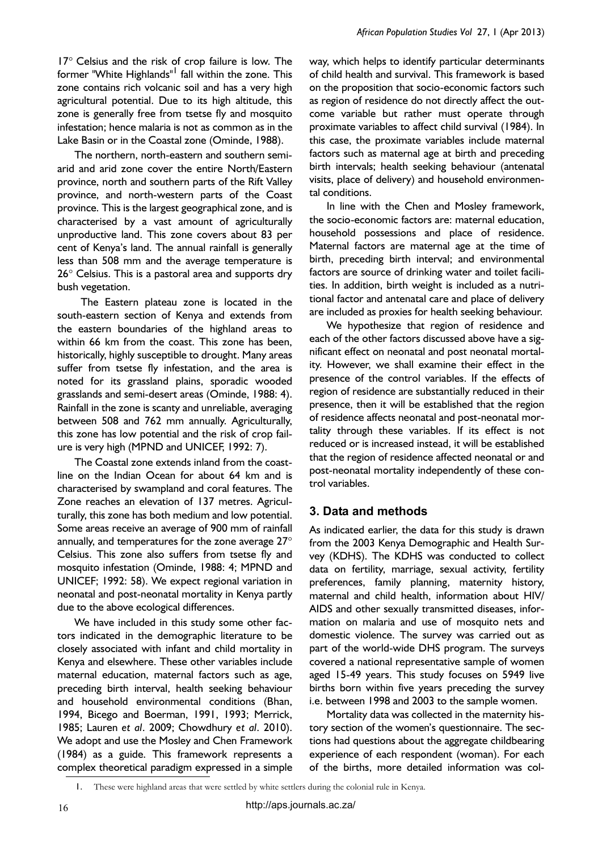17° Celsius and the risk of crop failure is low. The former "White Highlands" <sup>I</sup> fall within the zone. This zone contains rich volcanic soil and has a very high agricultural potential. Due to its high altitude, this zone is generally free from tsetse fly and mosquito infestation; hence malaria is not as common as in the Lake Basin or in the Coastal zone (Ominde, 1988).

The northern, north-eastern and southern semiarid and arid zone cover the entire North/Eastern province, north and southern parts of the Rift Valley province, and north-western parts of the Coast province. This is the largest geographical zone, and is characterised by a vast amount of agriculturally unproductive land. This zone covers about 83 per cent of Kenya's land. The annual rainfall is generally less than 508 mm and the average temperature is 26° Celsius. This is a pastoral area and supports dry bush vegetation.

 The Eastern plateau zone is located in the south-eastern section of Kenya and extends from the eastern boundaries of the highland areas to within 66 km from the coast. This zone has been, historically, highly susceptible to drought. Many areas suffer from tsetse fly infestation, and the area is noted for its grassland plains, sporadic wooded grasslands and semi-desert areas (Ominde, 1988: 4). Rainfall in the zone is scanty and unreliable, averaging between 508 and 762 mm annually. Agriculturally, this zone has low potential and the risk of crop failure is very high (MPND and UNICEF, 1992: 7).

The Coastal zone extends inland from the coastline on the Indian Ocean for about 64 km and is characterised by swampland and coral features. The Zone reaches an elevation of 137 metres. Agriculturally, this zone has both medium and low potential. Some areas receive an average of 900 mm of rainfall annually, and temperatures for the zone average 27° Celsius. This zone also suffers from tsetse fly and mosquito infestation (Ominde, 1988: 4; MPND and UNICEF; 1992: 58). We expect regional variation in neonatal and post-neonatal mortality in Kenya partly due to the above ecological differences.

We have included in this study some other factors indicated in the demographic literature to be closely associated with infant and child mortality in Kenya and elsewhere. These other variables include maternal education, maternal factors such as age, preceding birth interval, health seeking behaviour and household environmental conditions (Bhan, 1994, Bicego and Boerman, 1991, 1993; Merrick, 1985; Lauren *et al*. 2009; Chowdhury *et al*. 2010). We adopt and use the Mosley and Chen Framework (1984) as a guide. This framework represents a complex theoretical paradigm expressed in a simple

way, which helps to identify particular determinants of child health and survival. This framework is based on the proposition that socio-economic factors such as region of residence do not directly affect the outcome variable but rather must operate through proximate variables to affect child survival (1984). In this case, the proximate variables include maternal factors such as maternal age at birth and preceding birth intervals; health seeking behaviour (antenatal visits, place of delivery) and household environmental conditions.

In line with the Chen and Mosley framework, the socio-economic factors are: maternal education, household possessions and place of residence. Maternal factors are maternal age at the time of birth, preceding birth interval; and environmental factors are source of drinking water and toilet facilities. In addition, birth weight is included as a nutritional factor and antenatal care and place of delivery are included as proxies for health seeking behaviour.

We hypothesize that region of residence and each of the other factors discussed above have a significant effect on neonatal and post neonatal mortality. However, we shall examine their effect in the presence of the control variables. If the effects of region of residence are substantially reduced in their presence, then it will be established that the region of residence affects neonatal and post-neonatal mortality through these variables. If its effect is not reduced or is increased instead, it will be established that the region of residence affected neonatal or and post-neonatal mortality independently of these control variables.

# **3. Data and methods**

As indicated earlier, the data for this study is drawn from the 2003 Kenya Demographic and Health Survey (KDHS). The KDHS was conducted to collect data on fertility, marriage, sexual activity, fertility preferences, family planning, maternity history, maternal and child health, information about HIV/ AIDS and other sexually transmitted diseases, information on malaria and use of mosquito nets and domestic violence. The survey was carried out as part of the world-wide DHS program. The surveys covered a national representative sample of women aged 15-49 years. This study focuses on 5949 live births born within five years preceding the survey i.e. between 1998 and 2003 to the sample women.

Mortality data was collected in the maternity history section of the women's questionnaire. The sections had questions about the aggregate childbearing experience of each respondent (woman). For each of the births, more detailed information was col-

1. These were highland areas that were settled by white settlers during the colonial rule in Kenya.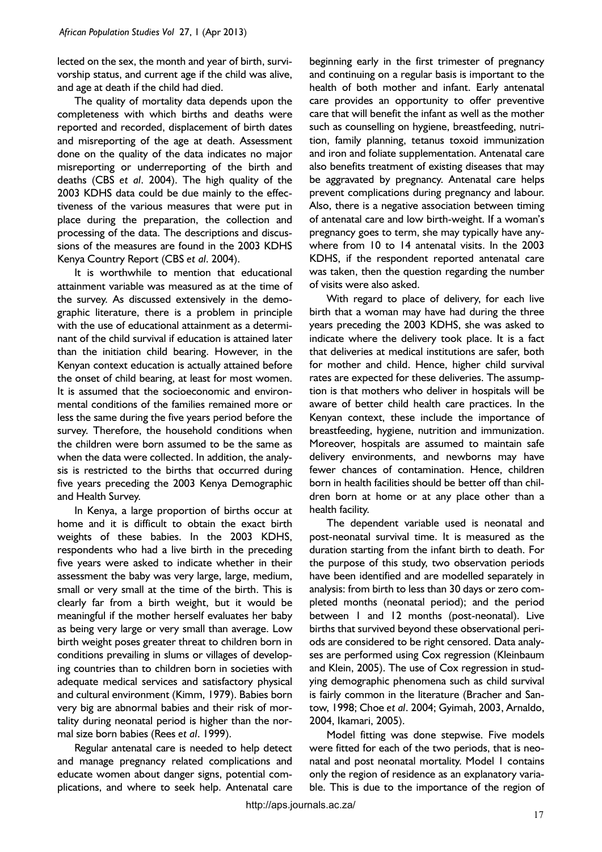lected on the sex, the month and year of birth, survivorship status, and current age if the child was alive, and age at death if the child had died.

The quality of mortality data depends upon the completeness with which births and deaths were reported and recorded, displacement of birth dates and misreporting of the age at death. Assessment done on the quality of the data indicates no major misreporting or underreporting of the birth and deaths (CBS *et al*. 2004). The high quality of the 2003 KDHS data could be due mainly to the effectiveness of the various measures that were put in place during the preparation, the collection and processing of the data. The descriptions and discussions of the measures are found in the 2003 KDHS Kenya Country Report (CBS *et al*. 2004).

It is worthwhile to mention that educational attainment variable was measured as at the time of the survey. As discussed extensively in the demographic literature, there is a problem in principle with the use of educational attainment as a determinant of the child survival if education is attained later than the initiation child bearing. However, in the Kenyan context education is actually attained before the onset of child bearing, at least for most women. It is assumed that the socioeconomic and environmental conditions of the families remained more or less the same during the five years period before the survey. Therefore, the household conditions when the children were born assumed to be the same as when the data were collected. In addition, the analysis is restricted to the births that occurred during five years preceding the 2003 Kenya Demographic and Health Survey.

In Kenya, a large proportion of births occur at home and it is difficult to obtain the exact birth weights of these babies. In the 2003 KDHS, respondents who had a live birth in the preceding five years were asked to indicate whether in their assessment the baby was very large, large, medium, small or very small at the time of the birth. This is clearly far from a birth weight, but it would be meaningful if the mother herself evaluates her baby as being very large or very small than average. Low birth weight poses greater threat to children born in conditions prevailing in slums or villages of developing countries than to children born in societies with adequate medical services and satisfactory physical and cultural environment (Kimm, 1979). Babies born very big are abnormal babies and their risk of mortality during neonatal period is higher than the normal size born babies (Rees *et al*. 1999).

Regular antenatal care is needed to help detect and manage pregnancy related complications and educate women about danger signs, potential complications, and where to seek help. Antenatal care beginning early in the first trimester of pregnancy and continuing on a regular basis is important to the health of both mother and infant. Early antenatal care provides an opportunity to offer preventive care that will benefit the infant as well as the mother such as counselling on hygiene, breastfeeding, nutrition, family planning, tetanus toxoid immunization and iron and foliate supplementation. Antenatal care also benefits treatment of existing diseases that may be aggravated by pregnancy. Antenatal care helps prevent complications during pregnancy and labour. Also, there is a negative association between timing of antenatal care and low birth-weight. If a woman's pregnancy goes to term, she may typically have anywhere from 10 to 14 antenatal visits. In the 2003 KDHS, if the respondent reported antenatal care was taken, then the question regarding the number of visits were also asked.

With regard to place of delivery, for each live birth that a woman may have had during the three years preceding the 2003 KDHS, she was asked to indicate where the delivery took place. It is a fact that deliveries at medical institutions are safer, both for mother and child. Hence, higher child survival rates are expected for these deliveries. The assumption is that mothers who deliver in hospitals will be aware of better child health care practices. In the Kenyan context, these include the importance of breastfeeding, hygiene, nutrition and immunization. Moreover, hospitals are assumed to maintain safe delivery environments, and newborns may have fewer chances of contamination. Hence, children born in health facilities should be better off than children born at home or at any place other than a health facility.

The dependent variable used is neonatal and post-neonatal survival time. It is measured as the duration starting from the infant birth to death. For the purpose of this study, two observation periods have been identified and are modelled separately in analysis: from birth to less than 30 days or zero completed months (neonatal period); and the period between 1 and 12 months (post-neonatal). Live births that survived beyond these observational periods are considered to be right censored. Data analyses are performed using Cox regression (Kleinbaum and Klein, 2005). The use of Cox regression in studying demographic phenomena such as child survival is fairly common in the literature (Bracher and Santow, 1998; Choe *et al*. 2004; Gyimah, 2003, Arnaldo, 2004, Ikamari, 2005).

Model fitting was done stepwise. Five models were fitted for each of the two periods, that is neonatal and post neonatal mortality. Model 1 contains only the region of residence as an explanatory variable. This is due to the importance of the region of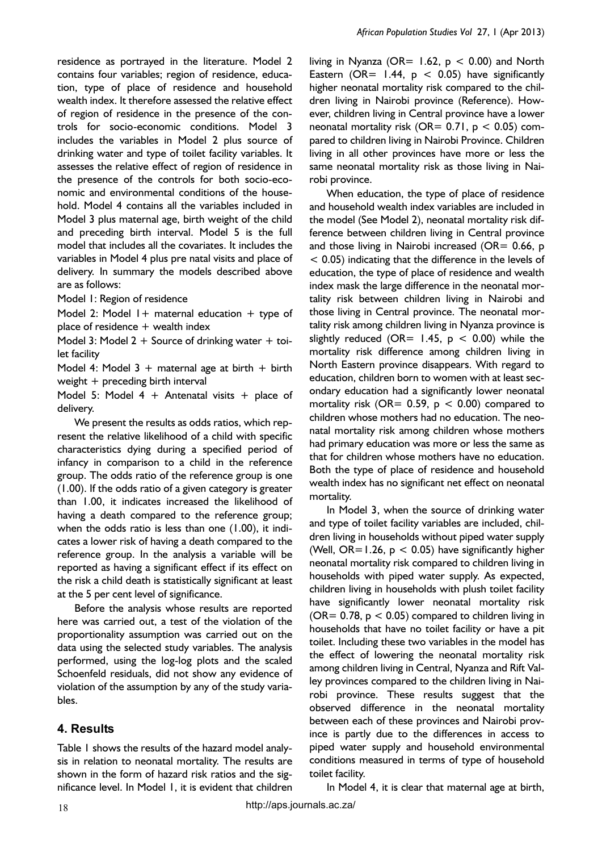residence as portrayed in the literature. Model 2 contains four variables; region of residence, education, type of place of residence and household wealth index. It therefore assessed the relative effect of region of residence in the presence of the controls for socio-economic conditions. Model 3 includes the variables in Model 2 plus source of drinking water and type of toilet facility variables. It assesses the relative effect of region of residence in the presence of the controls for both socio-economic and environmental conditions of the household. Model 4 contains all the variables included in Model 3 plus maternal age, birth weight of the child and preceding birth interval. Model 5 is the full model that includes all the covariates. It includes the variables in Model 4 plus pre natal visits and place of delivery. In summary the models described above are as follows:

Model 1: Region of residence

Model 2: Model  $1+$  maternal education  $+$  type of place of residence  $+$  wealth index

Model 3: Model  $2 +$  Source of drinking water  $+$  toilet facility

Model 4: Model  $3 +$  maternal age at birth + birth weight + preceding birth interval

Model 5: Model 4 + Antenatal visits + place of delivery.

We present the results as odds ratios, which represent the relative likelihood of a child with specific characteristics dying during a specified period of infancy in comparison to a child in the reference group. The odds ratio of the reference group is one (1.00). If the odds ratio of a given category is greater than 1.00, it indicates increased the likelihood of having a death compared to the reference group; when the odds ratio is less than one (1.00), it indicates a lower risk of having a death compared to the reference group. In the analysis a variable will be reported as having a significant effect if its effect on the risk a child death is statistically significant at least at the 5 per cent level of significance.

Before the analysis whose results are reported here was carried out, a test of the violation of the proportionality assumption was carried out on the data using the selected study variables. The analysis performed, using the log-log plots and the scaled Schoenfeld residuals, did not show any evidence of violation of the assumption by any of the study variables.

#### **4. Results**

Table 1 shows the results of the hazard model analysis in relation to neonatal mortality. The results are shown in the form of hazard risk ratios and the significance level. In Model 1, it is evident that children living in Nyanza ( $OR = 1.62$ ,  $p < 0.00$ ) and North Eastern (OR= 1.44,  $p$  < 0.05) have significantly higher neonatal mortality risk compared to the children living in Nairobi province (Reference). However, children living in Central province have a lower neonatal mortality risk (OR=  $0.71$ ,  $p < 0.05$ ) compared to children living in Nairobi Province. Children living in all other provinces have more or less the same neonatal mortality risk as those living in Nairobi province.

When education, the type of place of residence and household wealth index variables are included in the model (See Model 2), neonatal mortality risk difference between children living in Central province and those living in Nairobi increased ( $OR = 0.66$ , p < 0.05) indicating that the difference in the levels of education, the type of place of residence and wealth index mask the large difference in the neonatal mortality risk between children living in Nairobi and those living in Central province. The neonatal mortality risk among children living in Nyanza province is slightly reduced (OR= 1.45,  $p < 0.00$ ) while the mortality risk difference among children living in North Eastern province disappears. With regard to education, children born to women with at least secondary education had a significantly lower neonatal mortality risk (OR=  $0.59$ ,  $p < 0.00$ ) compared to children whose mothers had no education. The neonatal mortality risk among children whose mothers had primary education was more or less the same as that for children whose mothers have no education. Both the type of place of residence and household wealth index has no significant net effect on neonatal mortality.

In Model 3, when the source of drinking water and type of toilet facility variables are included, children living in households without piped water supply (Well,  $OR=1.26$ ,  $p < 0.05$ ) have significantly higher neonatal mortality risk compared to children living in households with piped water supply. As expected, children living in households with plush toilet facility have significantly lower neonatal mortality risk  $(OR = 0.78, p < 0.05)$  compared to children living in households that have no toilet facility or have a pit toilet. Including these two variables in the model has the effect of lowering the neonatal mortality risk among children living in Central, Nyanza and Rift Valley provinces compared to the children living in Nairobi province. These results suggest that the observed difference in the neonatal mortality between each of these provinces and Nairobi province is partly due to the differences in access to piped water supply and household environmental conditions measured in terms of type of household toilet facility.

In Model 4, it is clear that maternal age at birth,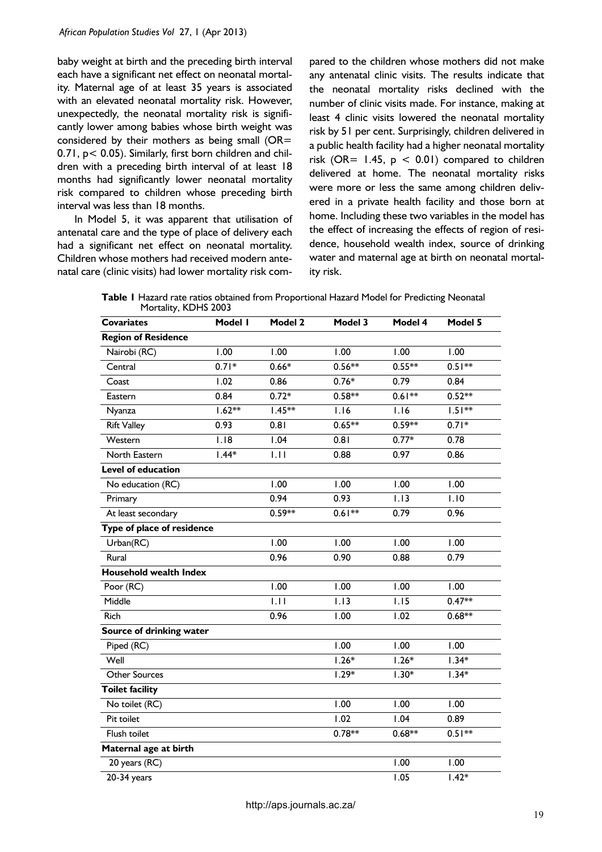baby weight at birth and the preceding birth interval each have a significant net effect on neonatal mortality. Maternal age of at least 35 years is associated with an elevated neonatal mortality risk. However, unexpectedly, the neonatal mortality risk is significantly lower among babies whose birth weight was considered by their mothers as being small (OR= 0.71, p< 0.05). Similarly, first born children and children with a preceding birth interval of at least 18 months had significantly lower neonatal mortality risk compared to children whose preceding birth interval was less than 18 months.

In Model 5, it was apparent that utilisation of antenatal care and the type of place of delivery each had a significant net effect on neonatal mortality. Children whose mothers had received modern antenatal care (clinic visits) had lower mortality risk compared to the children whose mothers did not make any antenatal clinic visits. The results indicate that the neonatal mortality risks declined with the number of clinic visits made. For instance, making at least 4 clinic visits lowered the neonatal mortality risk by 51 per cent. Surprisingly, children delivered in a public health facility had a higher neonatal mortality risk (OR= 1.45,  $p < 0.01$ ) compared to children delivered at home. The neonatal mortality risks were more or less the same among children delivered in a private health facility and those born at home. Including these two variables in the model has the effect of increasing the effects of region of residence, household wealth index, source of drinking water and maternal age at birth on neonatal mortality risk.

**Table 1** Hazard rate ratios obtained from Proportional Hazard Model for Predicting Neonatal Mortality, KDHS 2003

| <b>Covariates</b>          | Model I  | Model 2   | Model 3  | Model 4   | Model 5   |
|----------------------------|----------|-----------|----------|-----------|-----------|
| <b>Region of Residence</b> |          |           |          |           |           |
| Nairobi (RC)               | 1.00     | 1.00      | 1.00     | 1.00      | 1.00      |
| Central                    | $0.71*$  | $0.66*$   | $0.56**$ | $0.55***$ | $0.51***$ |
| Coast                      | 1.02     | 0.86      | $0.76*$  | 0.79      | 0.84      |
| Eastern                    | 0.84     | $0.72*$   | $0.58**$ | $0.61**$  | $0.52**$  |
| Nyanza                     | $1.62**$ | $1.45***$ | 1.16     | 1.16      | $1.51**$  |
| <b>Rift Valley</b>         | 0.93     | 0.81      | $0.65**$ | $0.59**$  | $0.71*$   |
| Western                    | 1.18     | 1.04      | 0.81     | $0.77*$   | 0.78      |
| North Eastern              | $1.44*$  | 1.11      | 0.88     | 0.97      | 0.86      |
| Level of education         |          |           |          |           |           |
| No education (RC)          |          | 1.00      | 1.00     | 1.00      | 1.00      |
| Primary                    |          | 0.94      | 0.93     | 1.13      | 1.10      |
| At least secondary         |          | $0.59**$  | $0.61**$ | 0.79      | 0.96      |
| Type of place of residence |          |           |          |           |           |
| Urban(RC)                  |          | 1.00      | 1.00     | 1.00      | 1.00      |
| Rural                      |          | 0.96      | 0.90     | 0.88      | 0.79      |
| Household wealth Index     |          |           |          |           |           |
| Poor (RC)                  |          | 1.00      | 1.00     | 1.00      | 1.00      |
| Middle                     |          | 1.11      | 1.13     | 1.15      | $0.47**$  |
| Rich                       |          | 0.96      | 1.00     | 1.02      | $0.68**$  |
| Source of drinking water   |          |           |          |           |           |
| Piped (RC)                 |          |           | 1.00     | 1.00      | 1.00      |
| Well                       |          |           | $1.26*$  | $1.26*$   | $1.34*$   |
| <b>Other Sources</b>       |          |           | $1.29*$  | $1.30*$   | $1.34*$   |
| <b>Toilet facility</b>     |          |           |          |           |           |
| No toilet (RC)             |          |           | 1.00     | 1.00      | 1.00      |
| Pit toilet                 |          |           | 1.02     | 1.04      | 0.89      |
| Flush toilet               |          |           | $0.78**$ | $0.68**$  | $0.51**$  |
| Maternal age at birth      |          |           |          |           |           |
| 20 years (RC)              |          |           |          | 1.00      | 1.00      |
| 20-34 years                |          |           |          | 1.05      | $1.42*$   |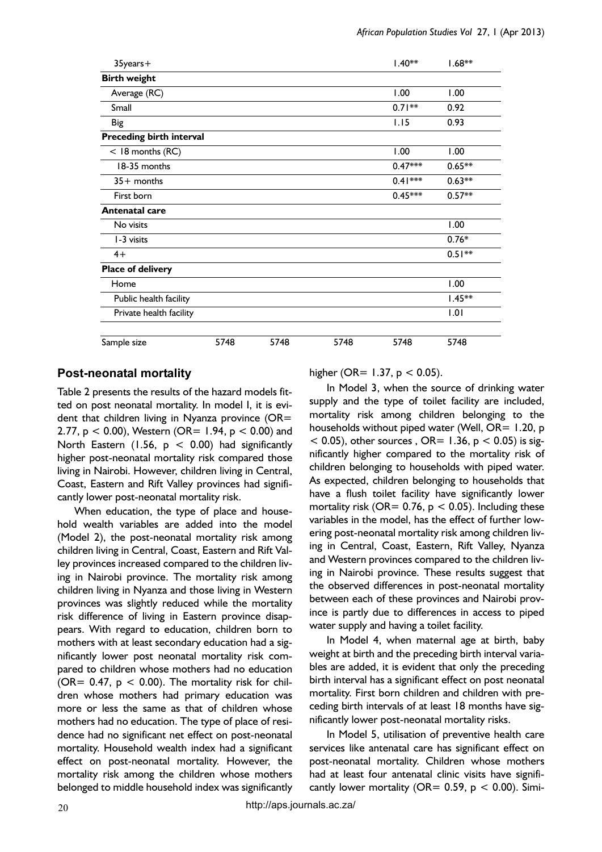| $35$ years $+$                  |      |      |      | $1.40**$  | $1.68**$  |
|---------------------------------|------|------|------|-----------|-----------|
| <b>Birth weight</b>             |      |      |      |           |           |
| Average (RC)                    |      |      |      | 1.00      | 1.00      |
| Small                           |      |      |      | $0.71***$ | 0.92      |
| <b>Big</b>                      |      |      |      | 1.15      | 0.93      |
| <b>Preceding birth interval</b> |      |      |      |           |           |
| $<$ 18 months (RC)              |      |      |      | 1.00      | 1.00      |
| 18-35 months                    |      |      |      | $0.47***$ | $0.65**$  |
| $35+$ months                    |      |      |      | $0.41***$ | $0.63**$  |
| First born                      |      |      |      | $0.45***$ | $0.57**$  |
| <b>Antenatal care</b>           |      |      |      |           |           |
| No visits                       |      |      |      |           | 1.00      |
| 1-3 visits                      |      |      |      |           | $0.76*$   |
| $4+$                            |      |      |      |           | $0.51***$ |
| Place of delivery               |      |      |      |           |           |
| Home                            |      |      |      |           | 1.00      |
| Public health facility          |      |      |      |           | $1.45**$  |
| Private health facility         |      |      |      |           | 1.01      |
| Sample size                     | 5748 | 5748 | 5748 | 5748      | 5748      |

## **Post-neonatal mortality**

Table 2 presents the results of the hazard models fitted on post neonatal mortality. In model I, it is evident that children living in Nyanza province (OR= 2.77,  $p < 0.00$ ), Western (OR= 1.94,  $p < 0.00$ ) and North Eastern (1.56,  $p < 0.00$ ) had significantly higher post-neonatal mortality risk compared those living in Nairobi. However, children living in Central, Coast, Eastern and Rift Valley provinces had significantly lower post-neonatal mortality risk.

When education, the type of place and household wealth variables are added into the model (Model 2), the post-neonatal mortality risk among children living in Central, Coast, Eastern and Rift Valley provinces increased compared to the children living in Nairobi province. The mortality risk among children living in Nyanza and those living in Western provinces was slightly reduced while the mortality risk difference of living in Eastern province disappears. With regard to education, children born to mothers with at least secondary education had a significantly lower post neonatal mortality risk compared to children whose mothers had no education (OR= 0.47,  $p < 0.00$ ). The mortality risk for children whose mothers had primary education was more or less the same as that of children whose mothers had no education. The type of place of residence had no significant net effect on post-neonatal mortality. Household wealth index had a significant effect on post-neonatal mortality. However, the mortality risk among the children whose mothers belonged to middle household index was significantly

higher (OR=  $1.37$ , p < 0.05).

In Model 3, when the source of drinking water supply and the type of toilet facility are included, mortality risk among children belonging to the households without piped water (Well,  $OR = 1.20$ , p  $<$  0.05), other sources, OR= 1.36, p  $<$  0.05) is significantly higher compared to the mortality risk of children belonging to households with piped water. As expected, children belonging to households that have a flush toilet facility have significantly lower mortality risk ( $OR = 0.76$ ,  $p < 0.05$ ). Including these variables in the model, has the effect of further lowering post-neonatal mortality risk among children living in Central, Coast, Eastern, Rift Valley, Nyanza and Western provinces compared to the children living in Nairobi province. These results suggest that the observed differences in post-neonatal mortality between each of these provinces and Nairobi province is partly due to differences in access to piped water supply and having a toilet facility.

In Model 4, when maternal age at birth, baby weight at birth and the preceding birth interval variables are added, it is evident that only the preceding birth interval has a significant effect on post neonatal mortality. First born children and children with preceding birth intervals of at least 18 months have significantly lower post-neonatal mortality risks.

In Model 5, utilisation of preventive health care services like antenatal care has significant effect on post-neonatal mortality. Children whose mothers had at least four antenatal clinic visits have significantly lower mortality (OR= 0.59,  $p$  < 0.00). Simi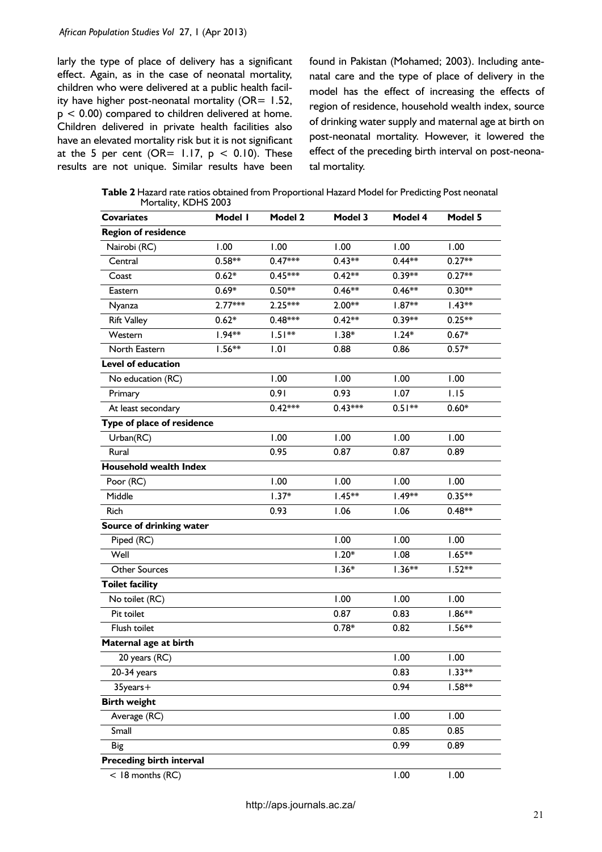larly the type of place of delivery has a significant effect. Again, as in the case of neonatal mortality, children who were delivered at a public health facility have higher post-neonatal mortality ( $OR = 1.52$ ,  $p < 0.00$ ) compared to children delivered at home. Children delivered in private health facilities also have an elevated mortality risk but it is not significant at the 5 per cent (OR=  $1.17$ ,  $p < 0.10$ ). These results are not unique. Similar results have been found in Pakistan (Mohamed; 2003). Including antenatal care and the type of place of delivery in the model has the effect of increasing the effects of region of residence, household wealth index, source of drinking water supply and maternal age at birth on post-neonatal mortality. However, it lowered the effect of the preceding birth interval on post-neonatal mortality.

**Table 2** Hazard rate ratios obtained from Proportional Hazard Model for Predicting Post neonatal Mortality, KDHS 2003

| <b>Covariates</b>               | Model I   | Model 2   | Model 3   | Model 4  | Model 5  |
|---------------------------------|-----------|-----------|-----------|----------|----------|
| <b>Region of residence</b>      |           |           |           |          |          |
| Nairobi (RC)                    | 1.00      | 1.00      | 1.00      | 1.00     | 1.00     |
| Central                         | $0.58**$  | $0.47***$ | $0.43**$  | $0.44**$ | $0.27**$ |
| Coast                           | $0.62*$   | $0.45***$ | $0.42**$  | $0.39**$ | $0.27**$ |
| Eastern                         | $0.69*$   | $0.50**$  | $0.46**$  | $0.46**$ | $0.30**$ |
| Nyanza                          | $2.77***$ | $2.25***$ | $2.00**$  | $1.87**$ | $1.43**$ |
| <b>Rift Valley</b>              | $0.62*$   | $0.48***$ | $0.42**$  | $0.39**$ | $0.25**$ |
| Western                         | $1.94**$  | $1.51**$  | $1.38*$   | $1.24*$  | $0.67*$  |
| North Eastern                   | $1.56**$  | 1.01      | 0.88      | 0.86     | $0.57*$  |
| Level of education              |           |           |           |          |          |
| No education (RC)               |           | 1.00      | 1.00      | 1.00     | 1.00     |
| Primary                         |           | 0.91      | 0.93      | 1.07     | 1.15     |
| At least secondary              |           | $0.42***$ | $0.43***$ | $0.51**$ | $0.60*$  |
| Type of place of residence      |           |           |           |          |          |
| Urban(RC)                       |           | 1.00      | 1.00      | 1.00     | 1.00     |
| Rural                           |           | 0.95      | 0.87      | 0.87     | 0.89     |
| Household wealth Index          |           |           |           |          |          |
| Poor (RC)                       |           | 1.00      | 1.00      | 1.00     | 1.00     |
| Middle                          |           | $1.37*$   | $1.45**$  | $1.49**$ | $0.35**$ |
| Rich                            |           | 0.93      | 1.06      | 1.06     | $0.48**$ |
| Source of drinking water        |           |           |           |          |          |
| Piped (RC)                      |           |           | 1.00      | 1.00     | 1.00     |
| Well                            |           |           | $1.20*$   | 1.08     | $1.65**$ |
| <b>Other Sources</b>            |           |           | $1.36*$   | $1.36**$ | $1.52**$ |
| <b>Toilet facility</b>          |           |           |           |          |          |
| No toilet (RC)                  |           |           | 1.00      | 1.00     | 1.00     |
| Pit toilet                      |           |           | 0.87      | 0.83     | $1.86**$ |
| Flush toilet                    |           |           | $0.78*$   | 0.82     | $1.56**$ |
| Maternal age at birth           |           |           |           |          |          |
| 20 years (RC)                   |           |           |           | 1.00     | 1.00     |
| 20-34 years                     |           |           |           | 0.83     | $1.33**$ |
| 35years+                        |           |           |           | 0.94     | $1.58**$ |
| <b>Birth weight</b>             |           |           |           |          |          |
| Average (RC)                    |           |           |           | 1.00     | 1.00     |
| Small                           |           |           |           | 0.85     | 0.85     |
| <b>Big</b>                      |           |           |           | 0.99     | 0.89     |
| <b>Preceding birth interval</b> |           |           |           |          |          |
| $<$ 18 months (RC)              |           |           |           | 1.00     | 1.00     |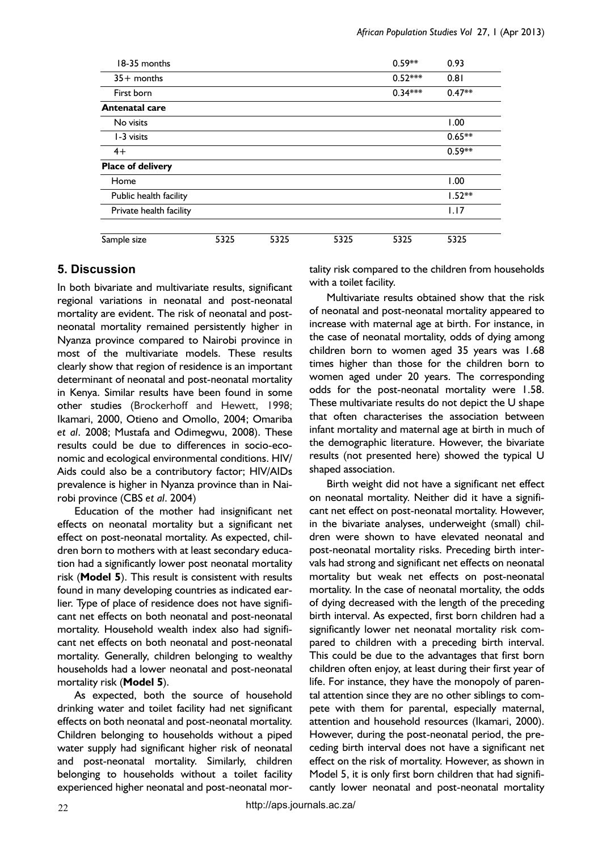| 18-35 months            |      |      |      | $0.59**$  | 0.93     |
|-------------------------|------|------|------|-----------|----------|
| $35+$ months            |      |      |      | $0.52***$ | 0.81     |
| First born              |      |      |      | $0.34***$ | $0.47**$ |
| Antenatal care          |      |      |      |           |          |
| No visits               |      |      |      |           | 1.00     |
| 1-3 visits              |      |      |      |           | $0.65**$ |
| $4+$                    |      |      |      |           | $0.59**$ |
| Place of delivery       |      |      |      |           |          |
| Home                    |      |      |      |           | 1.00     |
| Public health facility  |      |      |      |           | $1.52**$ |
| Private health facility |      |      |      |           | 1.17     |
| Sample size             | 5325 | 5325 | 5325 | 5325      | 5325     |

#### **5. Discussion**

In both bivariate and multivariate results, significant regional variations in neonatal and post-neonatal mortality are evident. The risk of neonatal and postneonatal mortality remained persistently higher in Nyanza province compared to Nairobi province in most of the multivariate models. These results clearly show that region of residence is an important determinant of neonatal and post-neonatal mortality in Kenya. Similar results have been found in some other studies (Brockerhoff and Hewett, 1998; Ikamari, 2000, Otieno and Omollo, 2004; Omariba *et al*. 2008; Mustafa and Odimegwu, 2008). These results could be due to differences in socio-economic and ecological environmental conditions. HIV/ Aids could also be a contributory factor; HIV/AIDs prevalence is higher in Nyanza province than in Nairobi province (CBS *et al*. 2004)

Education of the mother had insignificant net effects on neonatal mortality but a significant net effect on post-neonatal mortality. As expected, children born to mothers with at least secondary education had a significantly lower post neonatal mortality risk (**Model 5**). This result is consistent with results found in many developing countries as indicated earlier. Type of place of residence does not have significant net effects on both neonatal and post-neonatal mortality. Household wealth index also had significant net effects on both neonatal and post-neonatal mortality. Generally, children belonging to wealthy households had a lower neonatal and post-neonatal mortality risk (**Model 5**).

As expected, both the source of household drinking water and toilet facility had net significant effects on both neonatal and post-neonatal mortality. Children belonging to households without a piped water supply had significant higher risk of neonatal and post-neonatal mortality. Similarly, children belonging to households without a toilet facility experienced higher neonatal and post-neonatal mortality risk compared to the children from households with a toilet facility.

Multivariate results obtained show that the risk of neonatal and post-neonatal mortality appeared to increase with maternal age at birth. For instance, in the case of neonatal mortality, odds of dying among children born to women aged 35 years was 1.68 times higher than those for the children born to women aged under 20 years. The corresponding odds for the post-neonatal mortality were 1.58. These multivariate results do not depict the U shape that often characterises the association between infant mortality and maternal age at birth in much of the demographic literature. However, the bivariate results (not presented here) showed the typical U shaped association.

Birth weight did not have a significant net effect on neonatal mortality. Neither did it have a significant net effect on post-neonatal mortality. However, in the bivariate analyses, underweight (small) children were shown to have elevated neonatal and post-neonatal mortality risks. Preceding birth intervals had strong and significant net effects on neonatal mortality but weak net effects on post-neonatal mortality. In the case of neonatal mortality, the odds of dying decreased with the length of the preceding birth interval. As expected, first born children had a significantly lower net neonatal mortality risk compared to children with a preceding birth interval. This could be due to the advantages that first born children often enjoy, at least during their first year of life. For instance, they have the monopoly of parental attention since they are no other siblings to compete with them for parental, especially maternal, attention and household resources (Ikamari, 2000). However, during the post-neonatal period, the preceding birth interval does not have a significant net effect on the risk of mortality. However, as shown in Model 5, it is only first born children that had significantly lower neonatal and post-neonatal mortality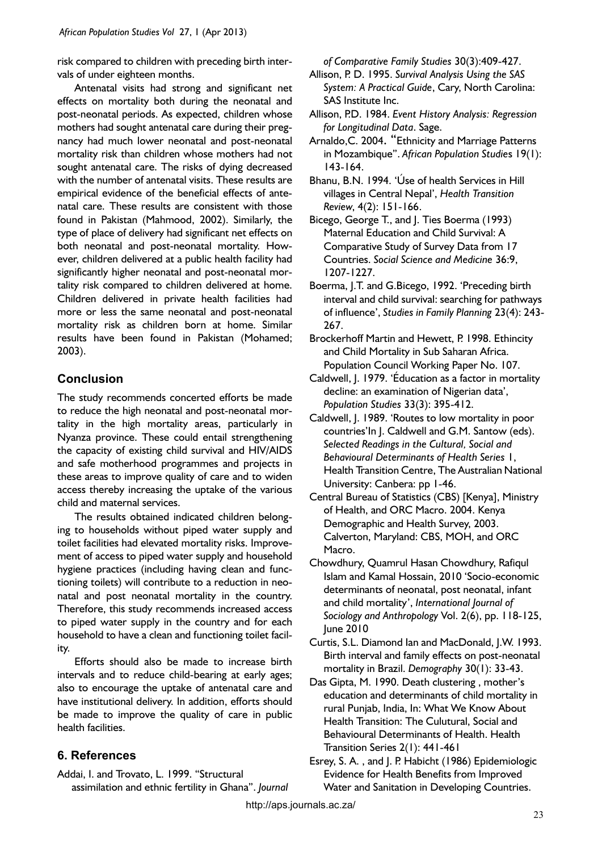risk compared to children with preceding birth intervals of under eighteen months.

Antenatal visits had strong and significant net effects on mortality both during the neonatal and post-neonatal periods. As expected, children whose mothers had sought antenatal care during their pregnancy had much lower neonatal and post-neonatal mortality risk than children whose mothers had not sought antenatal care. The risks of dying decreased with the number of antenatal visits. These results are empirical evidence of the beneficial effects of antenatal care. These results are consistent with those found in Pakistan (Mahmood, 2002). Similarly, the type of place of delivery had significant net effects on both neonatal and post-neonatal mortality. However, children delivered at a public health facility had significantly higher neonatal and post-neonatal mortality risk compared to children delivered at home. Children delivered in private health facilities had more or less the same neonatal and post-neonatal mortality risk as children born at home. Similar results have been found in Pakistan (Mohamed; 2003).

# **Conclusion**

The study recommends concerted efforts be made to reduce the high neonatal and post-neonatal mortality in the high mortality areas, particularly in Nyanza province. These could entail strengthening the capacity of existing child survival and HIV/AIDS and safe motherhood programmes and projects in these areas to improve quality of care and to widen access thereby increasing the uptake of the various child and maternal services.

The results obtained indicated children belonging to households without piped water supply and toilet facilities had elevated mortality risks. Improvement of access to piped water supply and household hygiene practices (including having clean and functioning toilets) will contribute to a reduction in neonatal and post neonatal mortality in the country. Therefore, this study recommends increased access to piped water supply in the country and for each household to have a clean and functioning toilet facility.

Efforts should also be made to increase birth intervals and to reduce child-bearing at early ages; also to encourage the uptake of antenatal care and have institutional delivery. In addition, efforts should be made to improve the quality of care in public health facilities.

# **6. References**

Addai, I. and Trovato, L. 1999. "Structural

assimilation and ethnic fertility in Ghana". *Journal* 

*of Comparative Family Studies* 30(3):409-427.

Allison, P. D. 1995. *Survival Analysis Using the SAS System: A Practical Guide*, Cary, North Carolina: SAS Institute Inc.

Allison, P.D. 1984. *Event History Analysis: Regression for Longitudinal Data*. Sage.

Arnaldo,C. 2004. "Ethnicity and Marriage Patterns in Mozambique". *African Population Studie*s 19(1): 143-164.

Bhanu, B.N. 1994. 'Úse of health Services in Hill villages in Central Nepal', *Health Transition Review*, 4(2): 151-166.

Bicego, George T., and J. Ties Boerma (1993) Maternal Education and Child Survival: A Comparative Study of Survey Data from 17 Countries. *Social Science and Medicine* 36:9, 1207-1227.

- Boerma, J.T. and G.Bicego, 1992. 'Preceding birth interval and child survival: searching for pathways of influence', *Studies in Family Planning* 23(4): 243- 267.
- Brockerhoff Martin and Hewett, P. 1998. Ethincity and Child Mortality in Sub Saharan Africa. Population Council Working Paper No. 107.
- Caldwell, J. 1979. 'Éducation as a factor in mortality decline: an examination of Nigerian data', *Population Studies* 33(3): 395-412.
- Caldwell, J. 1989. 'Routes to low mortality in poor countries'In J. Caldwell and G.M. Santow (eds). *Selected Readings in the Cultural, Social and Behavioural Determinants of Health Series* 1, Health Transition Centre, The Australian National University: Canbera: pp 1-46.
- Central Bureau of Statistics (CBS) [Kenya], Ministry of Health, and ORC Macro. 2004. Kenya Demographic and Health Survey, 2003. Calverton, Maryland: CBS, MOH, and ORC Macro.
- Chowdhury, Quamrul Hasan Chowdhury, Rafiqul Islam and Kamal Hossain, 2010 'Socio-economic determinants of neonatal, post neonatal, infant and child mortality', *International Journal of Sociology and Anthropology* Vol. 2(6), pp. 118-125, June 2010
- Curtis, S.L. Diamond Ian and MacDonald, J.W. 1993. Birth interval and family effects on post-neonatal mortality in Brazil. *Demography* 30(1): 33-43.
- Das Gipta, M. 1990. Death clustering , mother's education and determinants of child mortality in rural Punjab, India, In: What We Know About Health Transition: The Culutural, Social and Behavioural Determinants of Health. Health Transition Series 2(1): 441-461
- Esrey, S. A., and J. P. Habicht (1986) Epidemiologic Evidence for Health Benefits from Improved Water and Sanitation in Developing Countries.

http://aps.journals.ac.za/